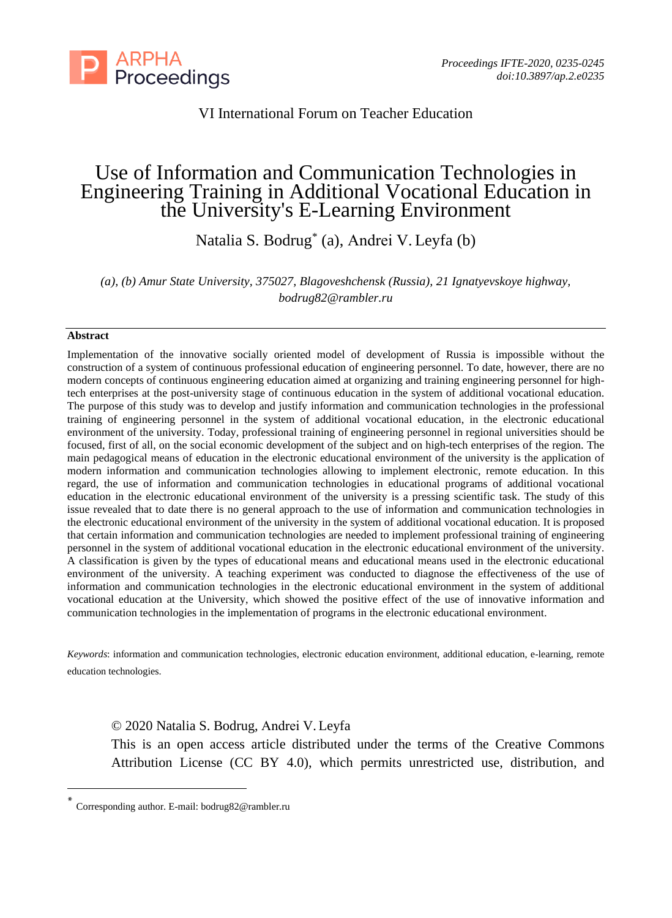

## VI International Forum on Teacher Education

# Use of Information and Communication Technologies in Engineering Training in Additional Vocational Education in the University's E-Learning Environment

Natalia S. Bodrug\* (a), Аndrei V. Leyfa (b)

*(a), (b) Amur State University, 375027, Blagoveshchensk (Russia), 21 Ignatyevskoye highway, [bodrug82@rambler.ru](mailto:bodrug82@rambler.ru)*

#### **Abstract**

Implementation of the innovative socially oriented model of development of Russia is impossible without the construction of a system of continuous professional education of engineering personnel. To date, however, there are no modern concepts of continuous engineering education aimed at organizing and training engineering personnel for hightech enterprises at the post-university stage of continuous education in the system of additional vocational education. The purpose of this study was to develop and justify information and communication technologies in the professional training of engineering personnel in the system of additional vocational education, in the electronic educational environment of the university. Today, professional training of engineering personnel in regional universities should be focused, first of all, on the social economic development of the subject and on high-tech enterprises of the region. The main pedagogical means of education in the electronic educational environment of the university is the application of modern information and communication technologies allowing to implement electronic, remote education. In this regard, the use of information and communication technologies in educational programs of additional vocational education in the electronic educational environment of the university is a pressing scientific task. The study of this issue revealed that to date there is no general approach to the use of information and communication technologies in the electronic educational environment of the university in the system of additional vocational education. It is proposed that certain information and communication technologies are needed to implement professional training of engineering personnel in the system of additional vocational education in the electronic educational environment of the university. A classification is given by the types of educational means and educational means used in the electronic educational environment of the university. A teaching experiment was conducted to diagnose the effectiveness of the use of information and communication technologies in the electronic educational environment in the system of additional vocational education at the University, which showed the positive effect of the use of innovative information and communication technologies in the implementation of programs in the electronic educational environment.

*Keywords*: information and communication technologies, electronic education environment, additional education, e-learning, remote education technologies.

© 2020 Natalia S. Bodrug, Аndrei V. Leyfa

This is an open access article distributed under the terms of the Creative Commons Attribution License (CC BY 4.0), which permits unrestricted use, distribution, and

<sup>\*</sup> Corresponding author. E-mail: [bodrug82@rambler.ru](mailto:bodrug82@rambler.ru)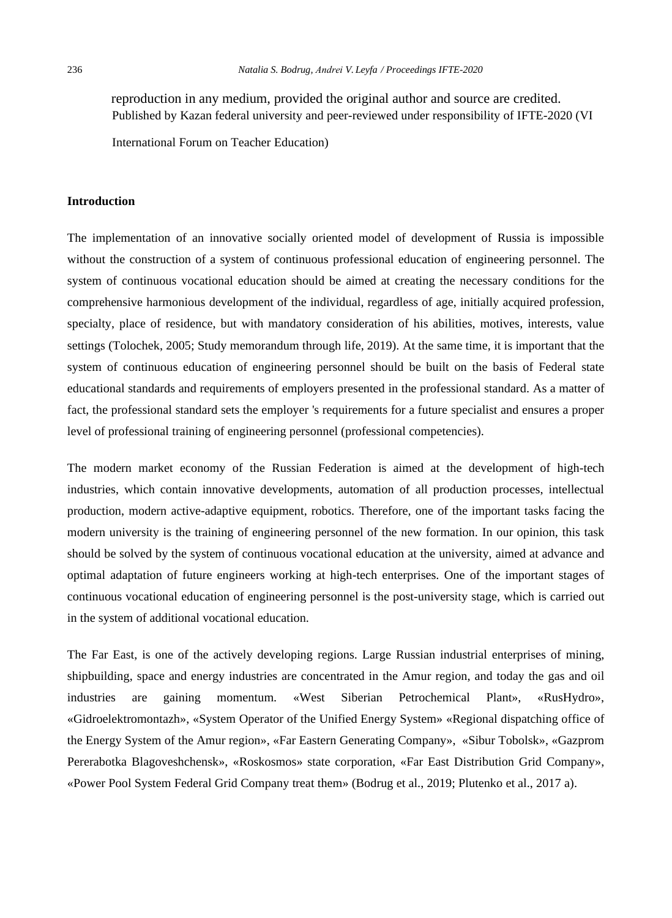reproduction in any medium, provided the original author and source are credited. Published by Kazan federal university and peer-reviewed under responsibility of IFTE-2020 (VI

International Forum on Teacher Education)

#### **Introduction**

The implementation of an innovative socially oriented model of development of Russia is impossible without the construction of a system of continuous professional education of engineering personnel. The system of continuous vocational education should be aimed at creating the necessary conditions for the comprehensive harmonious development of the individual, regardless of age, initially acquired profession, specialty, place of residence, but with mandatory consideration of his abilities, motives, interests, value settings (Tolochek, 2005; Study memorandum through life, 2019). At the same time, it is important that the system of continuous education of engineering personnel should be built on the basis of Federal state educational standards and requirements of employers presented in the professional standard. As a matter of fact, the professional standard sets the employer 's requirements for a future specialist and ensures a proper level of professional training of engineering personnel (professional competencies).

The modern market economy of the Russian Federation is aimed at the development of high-tech industries, which contain innovative developments, automation of all production processes, intellectual production, modern active-adaptive equipment, robotics. Therefore, one of the important tasks facing the modern university is the training of engineering personnel of the new formation. In our opinion, this task should be solved by the system of continuous vocational education at the university, aimed at advance and optimal adaptation of future engineers working at high-tech enterprises. One of the important stages of continuous vocational education of engineering personnel is the post-university stage, which is carried out in the system of additional vocational education.

The Far East, is one of the actively developing regions. Large Russian industrial enterprises of mining, shipbuilding, space and energy industries are concentrated in the Amur region, and today the gas and oil industries are gaining momentum. «West Siberian Petrochemical Plant», «RusHydro», «Gidroelektromontazh», «System Operator of the Unified Energy System» «Regional dispatching office of the Energy System of the Amur region», «Far Eastern Generating Company», «Sibur Tobolsk», «Gazprom Pererabotka Blagoveshchensk», «Roskosmos» state corporation, «Far East Distribution Grid Company», «Power Pool System Federal Grid Company treat them» (Bodrug et al., 2019; Plutenko et al., 2017 a).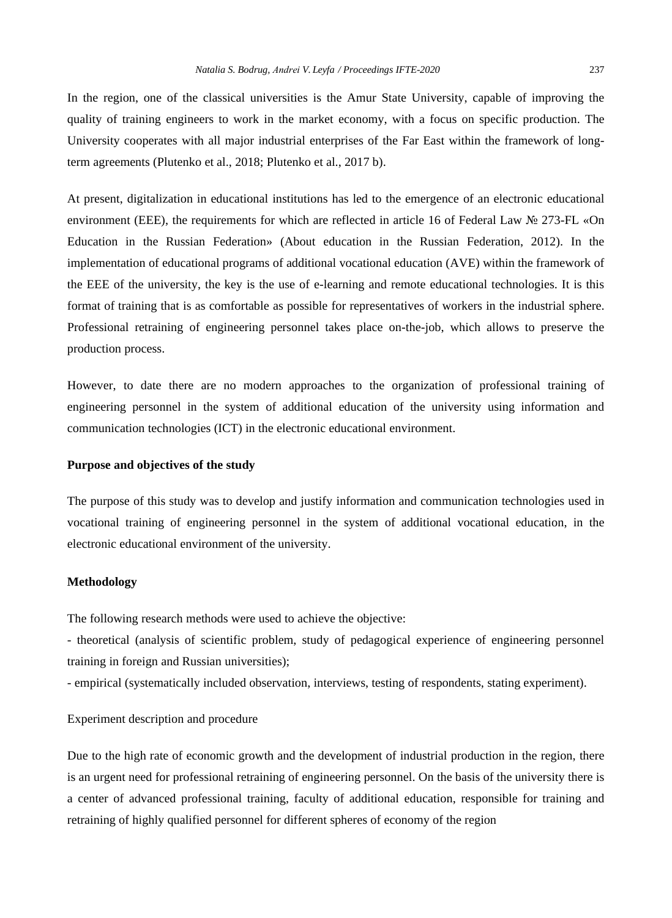In the region, one of the classical universities is the Amur State University, capable of improving the quality of training engineers to work in the market economy, with a focus on specific production. The University cooperates with all major industrial enterprises of the Far East within the framework of longterm agreements (Plutenko et al., 2018; Plutenko et al., 2017 b).

At present, digitalization in educational institutions has led to the emergence of an electronic educational environment (EEE), the requirements for which are reflected in article 16 of Federal Law № 273-FL «On Education in the Russian Federation» (About education in the Russian Federation, 2012). In the implementation of educational programs of additional vocational education (AVE) within the framework of the EEE of the university, the key is the use of e-learning and remote educational technologies. It is this format of training that is as comfortable as possible for representatives of workers in the industrial sphere. Professional retraining of engineering personnel takes place on-the-job, which allows to preserve the production process.

However, to date there are no modern approaches to the organization of professional training of engineering personnel in the system of additional education of the university using information and communication technologies (ICT) in the electronic educational environment.

#### **Purpose and objectives of the study**

The purpose of this study was to develop and justify information and communication technologies used in vocational training of engineering personnel in the system of additional vocational education, in the electronic educational environment of the university.

#### **Methodology**

The following research methods were used to achieve the objective:

- theoretical (analysis of scientific problem, study of pedagogical experience of engineering personnel training in foreign and Russian universities);

- empirical (systematically included observation, interviews, testing of respondents, stating experiment).

#### Experiment description and procedure

Due to the high rate of economic growth and the development of industrial production in the region, there is an urgent need for professional retraining of engineering personnel. On the basis of the university there is a center of advanced professional training, faculty of additional education, responsible for training and retraining of highly qualified personnel for different spheres of economy of the region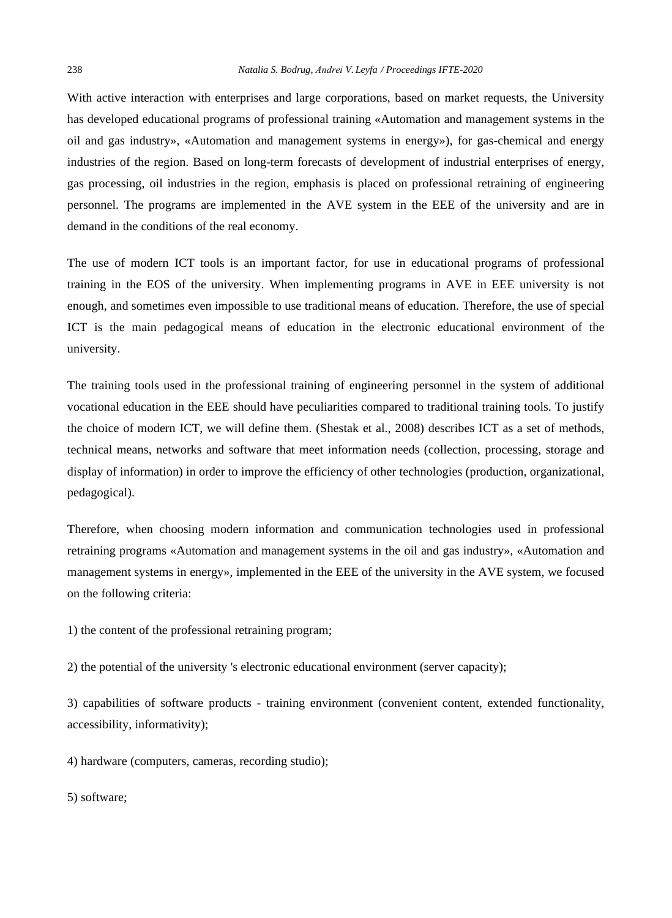With active interaction with enterprises and large corporations, based on market requests, the University has developed educational programs of professional training «Automation and management systems in the oil and gas industry», «Automation and management systems in energy»), for gas-chemical and energy industries of the region. Based on long-term forecasts of development of industrial enterprises of energy, gas processing, oil industries in the region, emphasis is placed on professional retraining of engineering personnel. The programs are implemented in the AVE system in the EEE of the university and are in demand in the conditions of the real economy.

The use of modern ICT tools is an important factor, for use in educational programs of professional training in the EOS of the university. When implementing programs in AVE in EEE university is not enough, and sometimes even impossible to use traditional means of education. Therefore, the use of special ICT is the main pedagogical means of education in the electronic educational environment of the university.

The training tools used in the professional training of engineering personnel in the system of additional vocational education in the EEE should have peculiarities compared to traditional training tools. To justify the choice of modern ICT, we will define them. (Shestak et al., 2008) describes ICT as a set of methods, technical means, networks and software that meet information needs (collection, processing, storage and display of information) in order to improve the efficiency of other technologies (production, organizational, pedagogical).

Therefore, when choosing modern information and communication technologies used in professional retraining programs «Automation and management systems in the oil and gas industry», «Automation and management systems in energy», implemented in the EEE of the university in the AVE system, we focused on the following criteria:

1) the content of the professional retraining program;

2) the potential of the university 's electronic educational environment (server capacity);

3) capabilities of software products - training environment (convenient content, extended functionality, accessibility, informativity);

4) hardware (computers, cameras, recording studio);

5) software;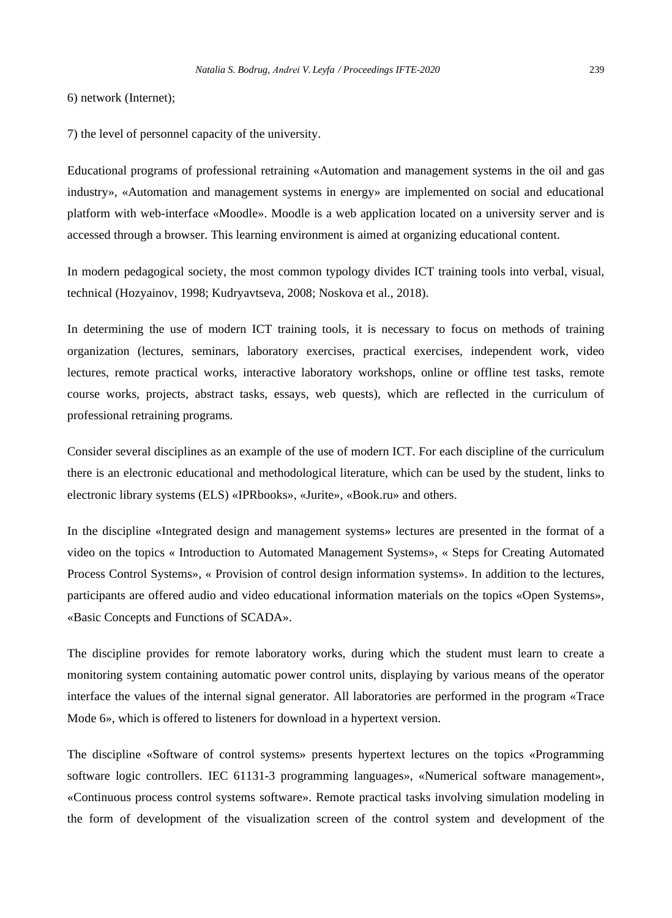6) network (Internet);

7) the level of personnel capacity of the university.

Educational programs of professional retraining «Automation and management systems in the oil and gas industry», «Automation and management systems in energy» are implemented on social and educational platform with web-interface «Moodle». Moodle is a web application located on a university server and is accessed through a browser. This learning environment is aimed at organizing educational content.

In modern pedagogical society, the most common typology divides ICT training tools into verbal, visual, technical (Hozyainov, 1998; Kudryavtseva, 2008; Noskova et al., 2018).

In determining the use of modern ICT training tools, it is necessary to focus on methods of training organization (lectures, seminars, laboratory exercises, practical exercises, independent work, video lectures, remote practical works, interactive laboratory workshops, online or offline test tasks, remote course works, projects, abstract tasks, essays, web quests), which are reflected in the curriculum of professional retraining programs.

Consider several disciplines as an example of the use of modern ICT. For each discipline of the curriculum there is an electronic educational and methodological literature, which can be used by the student, links to electronic library systems (ELS) «IPRbooks», «Jurite», «Book.ru» and others.

In the discipline «Integrated design and management systems» lectures are presented in the format of a video on the topics « Introduction to Automated Management Systems», « Steps for Creating Automated Process Control Systems», « Provision of control design information systems». In addition to the lectures, participants are offered audio and video educational information materials on the topics «Open Systems», «Basic Concepts and Functions of SCADA».

The discipline provides for remote laboratory works, during which the student must learn to create a monitoring system containing automatic power control units, displaying by various means of the operator interface the values of the internal signal generator. All laboratories are performed in the program «Trace Mode 6», which is offered to listeners for download in a hypertext version.

The discipline «Software of control systems» presents hypertext lectures on the topics «Programming software logic controllers. IEC 61131-3 programming languages», «Numerical software management», «Continuous process control systems software». Remote practical tasks involving simulation modeling in the form of development of the visualization screen of the control system and development of the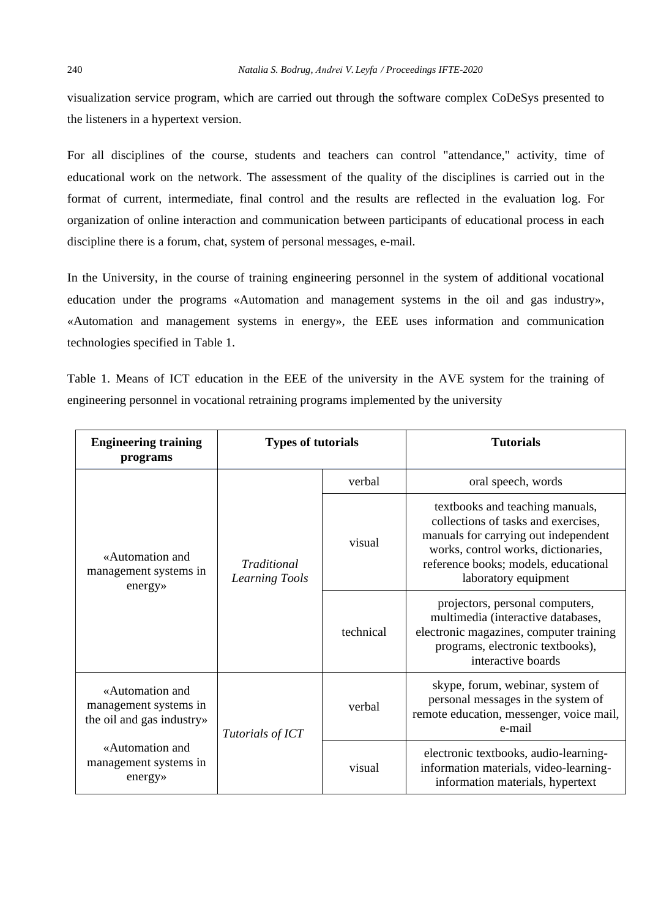visualization service program, which are carried out through the software complex CoDeSys presented to the listeners in a hypertext version.

For all disciplines of the course, students and teachers can control "attendance," activity, time of educational work on the network. The assessment of the quality of the disciplines is carried out in the format of current, intermediate, final control and the results are reflected in the evaluation log. For organization of online interaction and communication between participants of educational process in each discipline there is a forum, chat, system of personal messages, e-mail.

In the University, in the course of training engineering personnel in the system of additional vocational education under the programs «Automation and management systems in the oil and gas industry», «Automation and management systems in energy», the EEE uses information and communication technologies specified in Table 1.

Table 1. Means of ICT education in the EEE of the university in the AVE system for the training of engineering personnel in vocational retraining programs implemented by the university

| <b>Engineering training</b><br>programs                               | <b>Types of tutorials</b>                   |           | <b>Tutorials</b>                                                                                                                                                                                                      |  |
|-----------------------------------------------------------------------|---------------------------------------------|-----------|-----------------------------------------------------------------------------------------------------------------------------------------------------------------------------------------------------------------------|--|
| «Automation and<br>management systems in<br>energy»                   | <b>Traditional</b><br><b>Learning Tools</b> | verbal    | oral speech, words                                                                                                                                                                                                    |  |
|                                                                       |                                             | visual    | textbooks and teaching manuals,<br>collections of tasks and exercises,<br>manuals for carrying out independent<br>works, control works, dictionaries,<br>reference books; models, educational<br>laboratory equipment |  |
|                                                                       |                                             | technical | projectors, personal computers,<br>multimedia (interactive databases,<br>electronic magazines, computer training<br>programs, electronic textbooks),<br>interactive boards                                            |  |
| «Automation and<br>management systems in<br>the oil and gas industry» | Tutorials of ICT                            | verbal    | skype, forum, webinar, system of<br>personal messages in the system of<br>remote education, messenger, voice mail,<br>e-mail                                                                                          |  |
| «Automation and<br>management systems in<br>energy»                   |                                             | visual    | electronic textbooks, audio-learning-<br>information materials, video-learning-<br>information materials, hypertext                                                                                                   |  |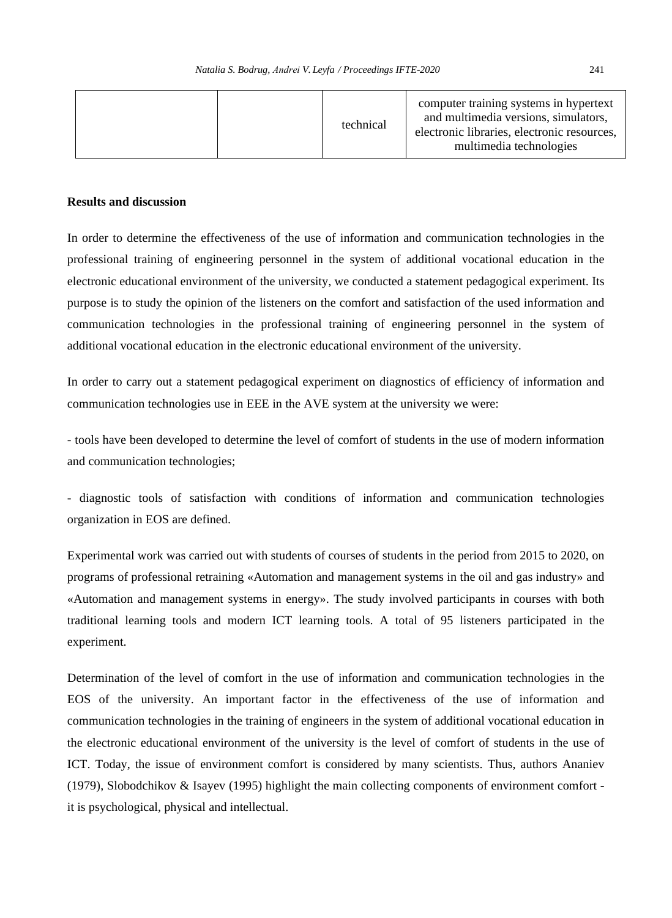|  | technical | computer training systems in hypertext<br>and multimedia versions, simulators,<br>electronic libraries, electronic resources,<br>multimedia technologies |
|--|-----------|----------------------------------------------------------------------------------------------------------------------------------------------------------|
|--|-----------|----------------------------------------------------------------------------------------------------------------------------------------------------------|

### **Results and discussion**

In order to determine the effectiveness of the use of information and communication technologies in the professional training of engineering personnel in the system of additional vocational education in the electronic educational environment of the university, we conducted a statement pedagogical experiment. Its purpose is to study the opinion of the listeners on the comfort and satisfaction of the used information and communication technologies in the professional training of engineering personnel in the system of additional vocational education in the electronic educational environment of the university.

In order to carry out a statement pedagogical experiment on diagnostics of efficiency of information and communication technologies use in EEE in the AVE system at the university we were:

- tools have been developed to determine the level of comfort of students in the use of modern information and communication technologies;

- diagnostic tools of satisfaction with conditions of information and communication technologies organization in EOS are defined.

Experimental work was carried out with students of courses of students in the period from 2015 to 2020, on programs of professional retraining «Automation and management systems in the oil and gas industry» and «Automation and management systems in energy». The study involved participants in courses with both traditional learning tools and modern ICT learning tools. A total of 95 listeners participated in the experiment.

Determination of the level of comfort in the use of information and communication technologies in the EOS of the university. An important factor in the effectiveness of the use of information and communication technologies in the training of engineers in the system of additional vocational education in the electronic educational environment of the university is the level of comfort of students in the use of ICT. Today, the issue of environment comfort is considered by many scientists. Thus, authors Ananiev (1979), Slobodchikov & Isayev (1995) highlight the main collecting components of environment comfort it is psychological, physical and intellectual.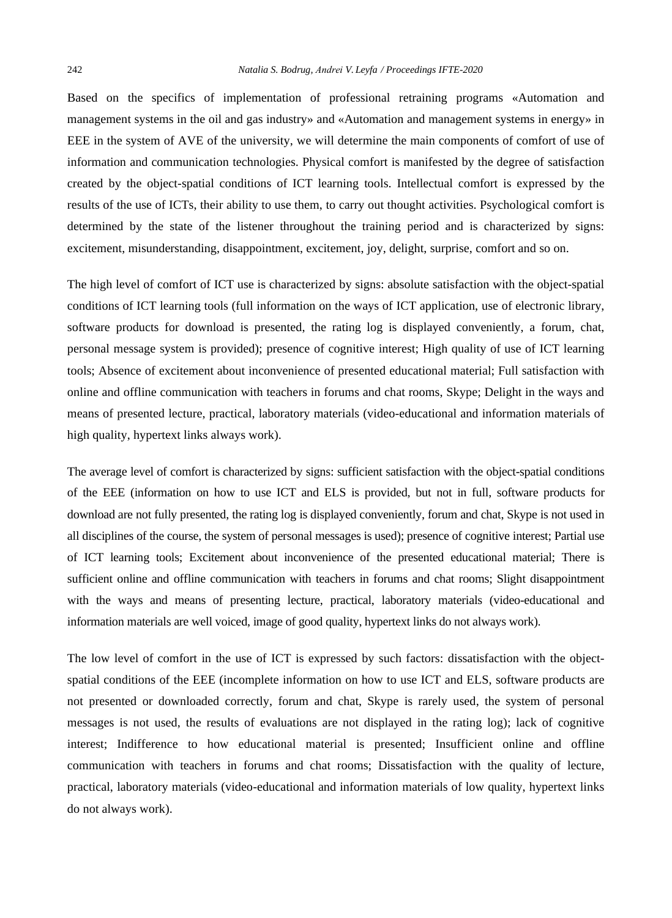Based on the specifics of implementation of professional retraining programs «Automation and management systems in the oil and gas industry» and «Automation and management systems in energy» in EEE in the system of AVE of the university, we will determine the main components of comfort of use of information and communication technologies. Physical comfort is manifested by the degree of satisfaction created by the object-spatial conditions of ICT learning tools. Intellectual comfort is expressed by the results of the use of ICTs, their ability to use them, to carry out thought activities. Psychological comfort is determined by the state of the listener throughout the training period and is characterized by signs: excitement, misunderstanding, disappointment, excitement, joy, delight, surprise, comfort and so on.

The high level of comfort of ICT use is characterized by signs: absolute satisfaction with the object-spatial conditions of ICT learning tools (full information on the ways of ICT application, use of electronic library, software products for download is presented, the rating log is displayed conveniently, a forum, chat, personal message system is provided); presence of cognitive interest; High quality of use of ICT learning tools; Absence of excitement about inconvenience of presented educational material; Full satisfaction with online and offline communication with teachers in forums and chat rooms, Skype; Delight in the ways and means of presented lecture, practical, laboratory materials (video-educational and information materials of high quality, hypertext links always work).

The average level of comfort is characterized by signs: sufficient satisfaction with the object-spatial conditions of the EEE (information on how to use ICT and ELS is provided, but not in full, software products for download are not fully presented, the rating log is displayed conveniently, forum and chat, Skype is not used in all disciplines of the course, the system of personal messages is used); presence of cognitive interest; Partial use of ICT learning tools; Excitement about inconvenience of the presented educational material; There is sufficient online and offline communication with teachers in forums and chat rooms; Slight disappointment with the ways and means of presenting lecture, practical, laboratory materials (video-educational and information materials are well voiced, image of good quality, hypertext links do not always work).

The low level of comfort in the use of ICT is expressed by such factors: dissatisfaction with the objectspatial conditions of the EEE (incomplete information on how to use ICT and ELS, software products are not presented or downloaded correctly, forum and chat, Skype is rarely used, the system of personal messages is not used, the results of evaluations are not displayed in the rating log); lack of cognitive interest; Indifference to how educational material is presented; Insufficient online and offline communication with teachers in forums and chat rooms; Dissatisfaction with the quality of lecture, practical, laboratory materials (video-educational and information materials of low quality, hypertext links do not always work).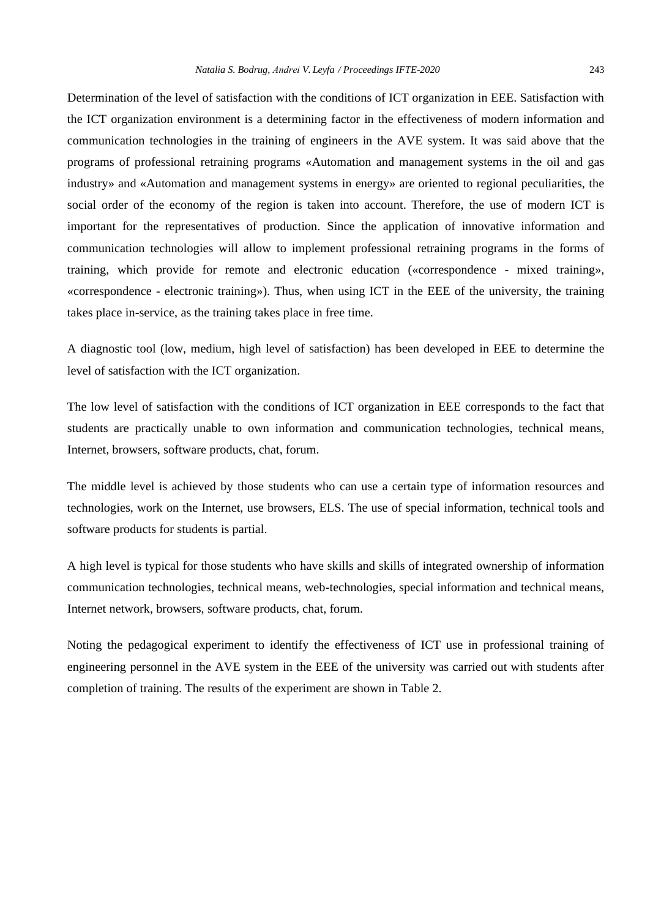Determination of the level of satisfaction with the conditions of ICT organization in EEE. Satisfaction with the ICT organization environment is a determining factor in the effectiveness of modern information and communication technologies in the training of engineers in the AVE system. It was said above that the programs of professional retraining programs «Automation and management systems in the oil and gas industry» and «Automation and management systems in energy» are oriented to regional peculiarities, the social order of the economy of the region is taken into account. Therefore, the use of modern ICT is important for the representatives of production. Since the application of innovative information and communication technologies will allow to implement professional retraining programs in the forms of training, which provide for remote and electronic education («correspondence - mixed training», «correspondence - electronic training»). Thus, when using ICT in the EEE of the university, the training takes place in-service, as the training takes place in free time.

A diagnostic tool (low, medium, high level of satisfaction) has been developed in EEE to determine the level of satisfaction with the ICT organization.

The low level of satisfaction with the conditions of ICT organization in EEE corresponds to the fact that students are practically unable to own information and communication technologies, technical means, Internet, browsers, software products, chat, forum.

The middle level is achieved by those students who can use a certain type of information resources and technologies, work on the Internet, use browsers, ELS. The use of special information, technical tools and software products for students is partial.

A high level is typical for those students who have skills and skills of integrated ownership of information communication technologies, technical means, web-technologies, special information and technical means, Internet network, browsers, software products, chat, forum.

Noting the pedagogical experiment to identify the effectiveness of ICT use in professional training of engineering personnel in the AVE system in the EEE of the university was carried out with students after completion of training. The results of the experiment are shown in Table 2.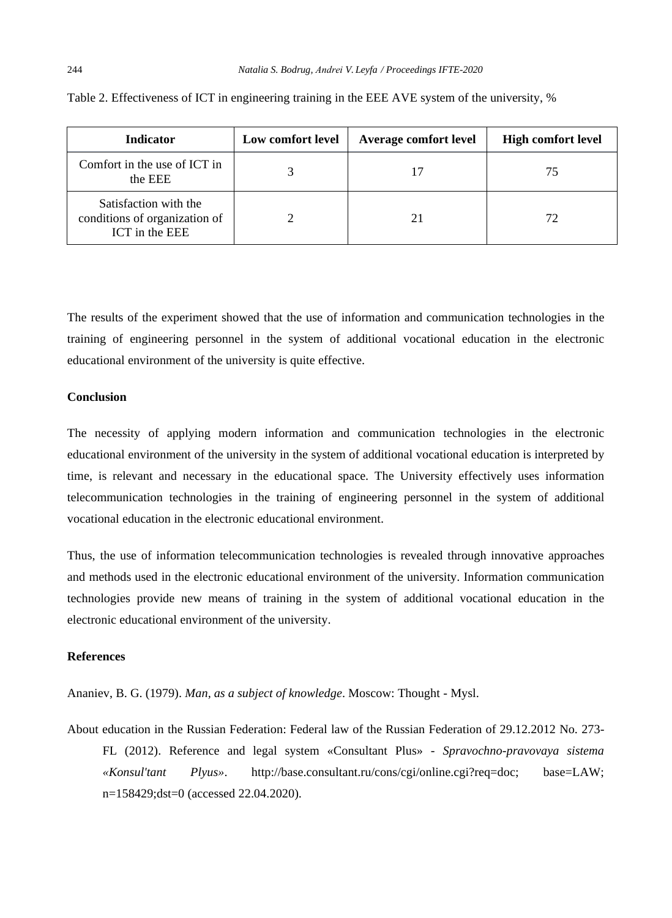| <b>Indicator</b>                                                         | Low comfort level | Average comfort level | <b>High comfort level</b> |
|--------------------------------------------------------------------------|-------------------|-----------------------|---------------------------|
| Comfort in the use of ICT in<br>the EEE                                  |                   |                       | 75                        |
| Satisfaction with the<br>conditions of organization of<br>ICT in the EEE |                   |                       | 72                        |

Table 2. Effectiveness of ICT in engineering training in the EEE AVE system of the university, %

The results of the experiment showed that the use of information and communication technologies in the training of engineering personnel in the system of additional vocational education in the electronic educational environment of the university is quite effective.

#### **Conclusion**

The necessity of applying modern information and communication technologies in the electronic educational environment of the university in the system of additional vocational education is interpreted by time, is relevant and necessary in the educational space. The University effectively uses information telecommunication technologies in the training of engineering personnel in the system of additional vocational education in the electronic educational environment.

Thus, the use of information telecommunication technologies is revealed through innovative approaches and methods used in the electronic educational environment of the university. Information communication technologies provide new means of training in the system of additional vocational education in the electronic educational environment of the university.

#### **References**

Ananiev, B. G. (1979). *Man, as a subject of knowledge*. Moscow: Thought - Mysl.

About education in the Russian Federation: Federal law of the Russian Federation of 29.12.2012 No. 273- FL (2012). Reference and legal system «Consultant Plus» - *Spravochno-pravovaya sistema «Konsul'tant Plyus»*. http://base.consultant.ru/cons/cgi/online.cgi?req=doc; base=LAW; n=158429;dst=0 (accessed 22.04.2020).